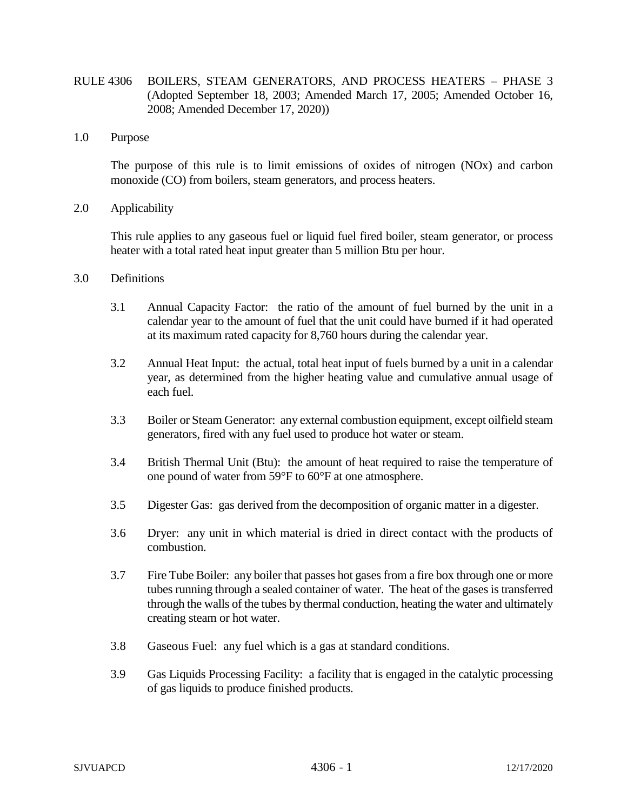- RULE 4306 BOILERS, STEAM GENERATORS, AND PROCESS HEATERS PHASE 3 (Adopted September 18, 2003; Amended March 17, 2005; Amended October 16, 2008; Amended December 17, 2020))
- 1.0 Purpose

The purpose of this rule is to limit emissions of oxides of nitrogen (NOx) and carbon monoxide (CO) from boilers, steam generators, and process heaters.

2.0 Applicability

This rule applies to any gaseous fuel or liquid fuel fired boiler, steam generator, or process heater with a total rated heat input greater than 5 million Btu per hour.

- 3.0 Definitions
	- 3.1 Annual Capacity Factor: the ratio of the amount of fuel burned by the unit in a calendar year to the amount of fuel that the unit could have burned if it had operated at its maximum rated capacity for 8,760 hours during the calendar year.
	- 3.2 Annual Heat Input: the actual, total heat input of fuels burned by a unit in a calendar year, as determined from the higher heating value and cumulative annual usage of each fuel.
	- 3.3 Boiler or Steam Generator: any external combustion equipment, except oilfield steam generators, fired with any fuel used to produce hot water or steam.
	- 3.4 British Thermal Unit (Btu): the amount of heat required to raise the temperature of one pound of water from 59°F to 60°F at one atmosphere.
	- 3.5 Digester Gas: gas derived from the decomposition of organic matter in a digester.
	- 3.6 Dryer: any unit in which material is dried in direct contact with the products of combustion.
	- 3.7 Fire Tube Boiler: any boiler that passes hot gases from a fire box through one or more tubes running through a sealed container of water. The heat of the gases is transferred through the walls of the tubes by thermal conduction, heating the water and ultimately creating steam or hot water.
	- 3.8 Gaseous Fuel: any fuel which is a gas at standard conditions.
	- 3.9 Gas Liquids Processing Facility: a facility that is engaged in the catalytic processing of gas liquids to produce finished products.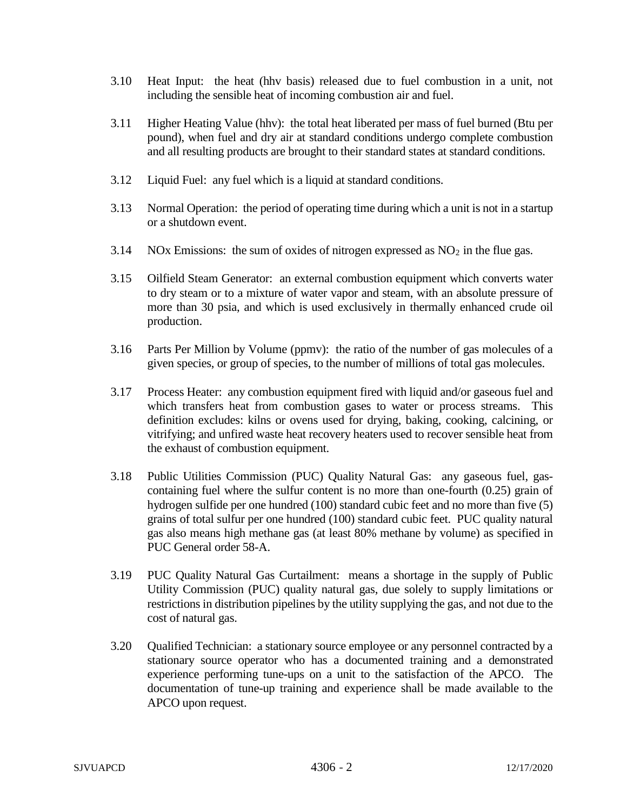- 3.10 Heat Input: the heat (hhv basis) released due to fuel combustion in a unit, not including the sensible heat of incoming combustion air and fuel.
- 3.11 Higher Heating Value (hhv): the total heat liberated per mass of fuel burned (Btu per pound), when fuel and dry air at standard conditions undergo complete combustion and all resulting products are brought to their standard states at standard conditions.
- 3.12 Liquid Fuel: any fuel which is a liquid at standard conditions.
- 3.13 Normal Operation: the period of operating time during which a unit is not in a startup or a shutdown event.
- 3.14 NOx Emissions: the sum of oxides of nitrogen expressed as  $NO<sub>2</sub>$  in the flue gas.
- 3.15 Oilfield Steam Generator: an external combustion equipment which converts water to dry steam or to a mixture of water vapor and steam, with an absolute pressure of more than 30 psia, and which is used exclusively in thermally enhanced crude oil production.
- 3.16 Parts Per Million by Volume (ppmv): the ratio of the number of gas molecules of a given species, or group of species, to the number of millions of total gas molecules.
- 3.17 Process Heater: any combustion equipment fired with liquid and/or gaseous fuel and which transfers heat from combustion gases to water or process streams. This definition excludes: kilns or ovens used for drying, baking, cooking, calcining, or vitrifying; and unfired waste heat recovery heaters used to recover sensible heat from the exhaust of combustion equipment.
- 3.18 Public Utilities Commission (PUC) Quality Natural Gas: any gaseous fuel, gascontaining fuel where the sulfur content is no more than one-fourth (0.25) grain of hydrogen sulfide per one hundred (100) standard cubic feet and no more than five (5) grains of total sulfur per one hundred (100) standard cubic feet. PUC quality natural gas also means high methane gas (at least 80% methane by volume) as specified in PUC General order 58-A.
- 3.19 PUC Quality Natural Gas Curtailment: means a shortage in the supply of Public Utility Commission (PUC) quality natural gas, due solely to supply limitations or restrictions in distribution pipelines by the utility supplying the gas, and not due to the cost of natural gas.
- 3.20 Qualified Technician: a stationary source employee or any personnel contracted by a stationary source operator who has a documented training and a demonstrated experience performing tune-ups on a unit to the satisfaction of the APCO. The documentation of tune-up training and experience shall be made available to the APCO upon request.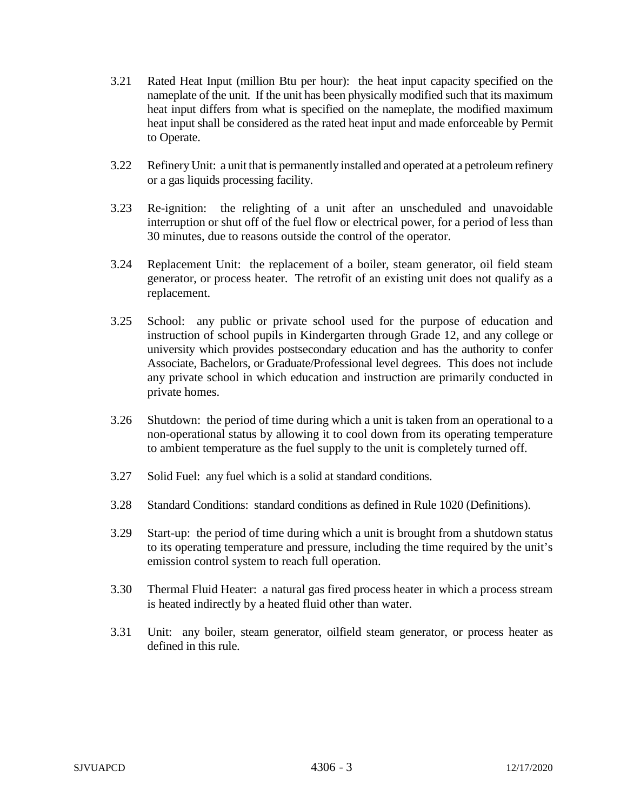- 3.21 Rated Heat Input (million Btu per hour): the heat input capacity specified on the nameplate of the unit. If the unit has been physically modified such that its maximum heat input differs from what is specified on the nameplate, the modified maximum heat input shall be considered as the rated heat input and made enforceable by Permit to Operate.
- 3.22 Refinery Unit: a unit that is permanently installed and operated at a petroleum refinery or a gas liquids processing facility.
- 3.23 Re-ignition: the relighting of a unit after an unscheduled and unavoidable interruption or shut off of the fuel flow or electrical power, for a period of less than 30 minutes, due to reasons outside the control of the operator.
- 3.24 Replacement Unit: the replacement of a boiler, steam generator, oil field steam generator, or process heater. The retrofit of an existing unit does not qualify as a replacement.
- 3.25 School: any public or private school used for the purpose of education and instruction of school pupils in Kindergarten through Grade 12, and any college or university which provides postsecondary education and has the authority to confer Associate, Bachelors, or Graduate/Professional level degrees. This does not include any private school in which education and instruction are primarily conducted in private homes.
- 3.26 Shutdown: the period of time during which a unit is taken from an operational to a non-operational status by allowing it to cool down from its operating temperature to ambient temperature as the fuel supply to the unit is completely turned off.
- 3.27 Solid Fuel: any fuel which is a solid at standard conditions.
- 3.28 Standard Conditions: standard conditions as defined in Rule 1020 (Definitions).
- 3.29 Start-up: the period of time during which a unit is brought from a shutdown status to its operating temperature and pressure, including the time required by the unit's emission control system to reach full operation.
- 3.30 Thermal Fluid Heater: a natural gas fired process heater in which a process stream is heated indirectly by a heated fluid other than water.
- 3.31 Unit: any boiler, steam generator, oilfield steam generator, or process heater as defined in this rule.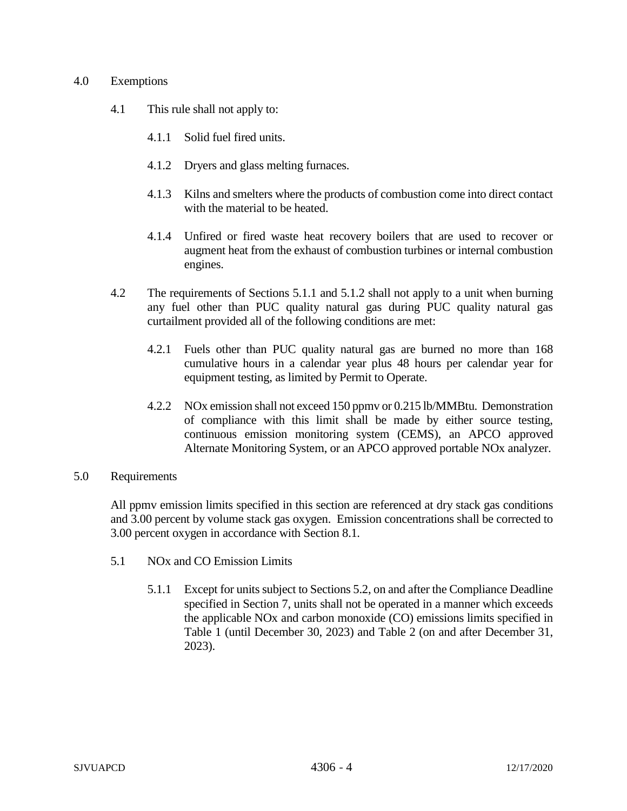# 4.0 Exemptions

- 4.1 This rule shall not apply to:
	- 4.1.1 Solid fuel fired units.
	- 4.1.2 Dryers and glass melting furnaces.
	- 4.1.3 Kilns and smelters where the products of combustion come into direct contact with the material to be heated.
	- 4.1.4 Unfired or fired waste heat recovery boilers that are used to recover or augment heat from the exhaust of combustion turbines or internal combustion engines.
- 4.2 The requirements of Sections 5.1.1 and 5.1.2 shall not apply to a unit when burning any fuel other than PUC quality natural gas during PUC quality natural gas curtailment provided all of the following conditions are met:
	- 4.2.1 Fuels other than PUC quality natural gas are burned no more than 168 cumulative hours in a calendar year plus 48 hours per calendar year for equipment testing, as limited by Permit to Operate.
	- 4.2.2 NOx emission shall not exceed 150 ppmv or 0.215 lb/MMBtu. Demonstration of compliance with this limit shall be made by either source testing, continuous emission monitoring system (CEMS), an APCO approved Alternate Monitoring System, or an APCO approved portable NOx analyzer.

# 5.0 Requirements

All ppmv emission limits specified in this section are referenced at dry stack gas conditions and 3.00 percent by volume stack gas oxygen. Emission concentrations shall be corrected to 3.00 percent oxygen in accordance with Section 8.1.

- 5.1 NOx and CO Emission Limits
	- 5.1.1 Except for units subject to Sections 5.2, on and after the Compliance Deadline specified in Section 7, units shall not be operated in a manner which exceeds the applicable NOx and carbon monoxide (CO) emissions limits specified in Table 1 (until December 30, 2023) and Table 2 (on and after December 31, 2023).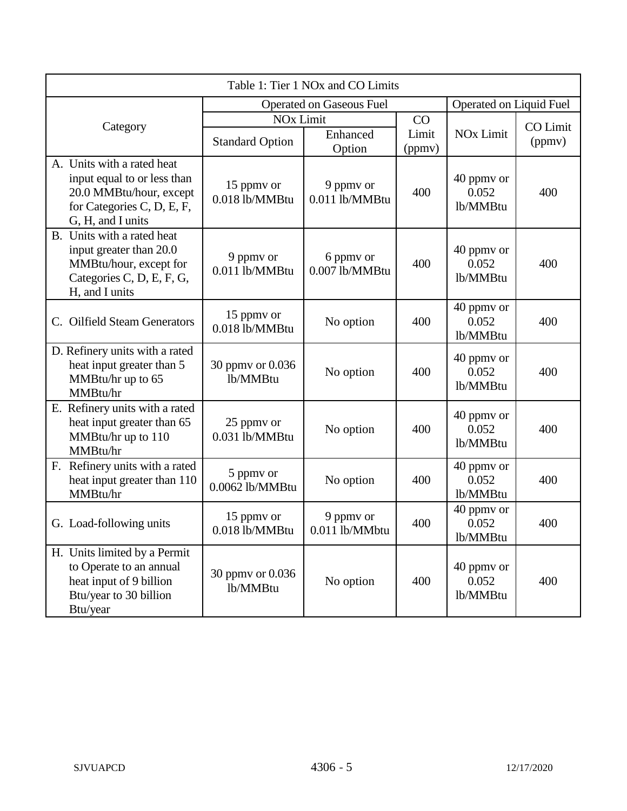| Table 1: Tier 1 NOx and CO Limits                                                                                                       |                                            |                             |                       |                                 |                           |
|-----------------------------------------------------------------------------------------------------------------------------------------|--------------------------------------------|-----------------------------|-----------------------|---------------------------------|---------------------------|
|                                                                                                                                         | <b>Operated on Gaseous Fuel</b>            |                             |                       | Operated on Liquid Fuel         |                           |
| Category                                                                                                                                | <b>NOx Limit</b><br><b>Standard Option</b> | Enhanced<br>Option          | CO<br>Limit<br>(ppmv) | <b>NO<sub>x</sub></b> Limit     | <b>CO</b> Limit<br>(ppmv) |
| A. Units with a rated heat<br>input equal to or less than<br>20.0 MMBtu/hour, except<br>for Categories C, D, E, F,<br>G, H, and I units | 15 ppmy or<br>0.018 lb/MMBtu               | 9 ppmy or<br>0.011 lb/MMBtu | 400                   | 40 ppmy or<br>0.052<br>lb/MMBtu | 400                       |
| B. Units with a rated heat<br>input greater than 20.0<br>MMBtu/hour, except for<br>Categories C, D, E, F, G,<br>H, and I units          | 9 ppmv or<br>0.011 lb/MMBtu                | 6 ppmv or<br>0.007 lb/MMBtu | 400                   | 40 ppmy or<br>0.052<br>lb/MMBtu | 400                       |
| C. Oilfield Steam Generators                                                                                                            | 15 ppmy or<br>0.018 lb/MMBtu               | No option                   | 400                   | 40 ppmy or<br>0.052<br>lb/MMBtu | 400                       |
| D. Refinery units with a rated<br>heat input greater than 5<br>MMBtu/hr up to 65<br>MMBtu/hr                                            | 30 ppmv or 0.036<br>lb/MMBtu               | No option                   | 400                   | 40 ppmy or<br>0.052<br>lb/MMBtu | 400                       |
| E. Refinery units with a rated<br>heat input greater than 65<br>MMBtu/hr up to 110<br>MMBtu/hr                                          | 25 ppmy or<br>0.031 lb/MMBtu               | No option                   | 400                   | 40 ppmy or<br>0.052<br>lb/MMBtu | 400                       |
| F. Refinery units with a rated<br>heat input greater than 110<br>MMBtu/hr                                                               | 5 ppmv or<br>0.0062 lb/MMBtu               | No option                   | 400                   | 40 ppmy or<br>0.052<br>lb/MMBtu | 400                       |
| G. Load-following units                                                                                                                 | 15 ppmy or<br>0.018 lb/MMBtu               | 9 ppmv or<br>0.011 lb/MMbtu | 400                   | 40 ppmy or<br>0.052<br>lb/MMBtu | 400                       |
| H. Units limited by a Permit<br>to Operate to an annual<br>heat input of 9 billion<br>Btu/year to 30 billion<br>Btu/year                | 30 ppmy or 0.036<br>lb/MMBtu               | No option                   | 400                   | 40 ppmy or<br>0.052<br>lb/MMBtu | 400                       |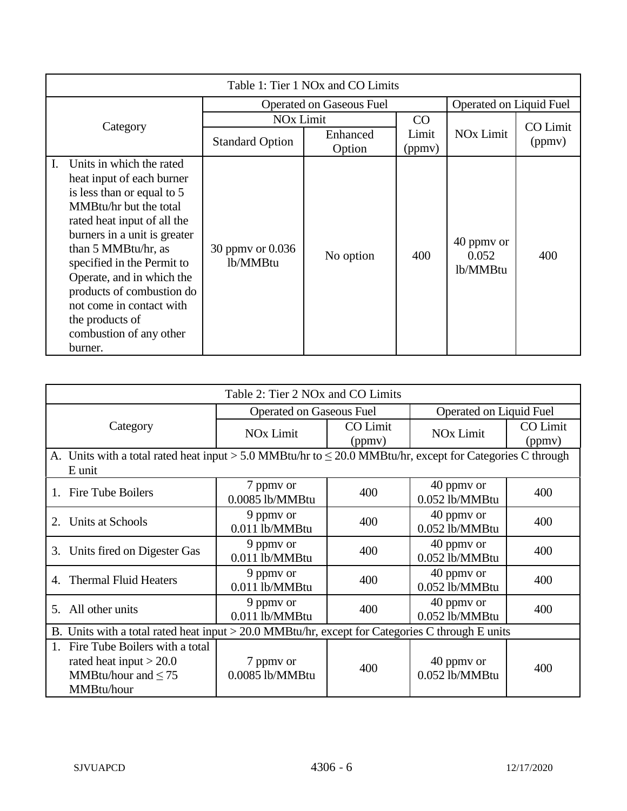| Table 1: Tier 1 NO <sub>x</sub> and CO Limits                                                                                                                                                                                                                                                                                                                                          |                                 |                         |                 |                                 |                 |
|----------------------------------------------------------------------------------------------------------------------------------------------------------------------------------------------------------------------------------------------------------------------------------------------------------------------------------------------------------------------------------------|---------------------------------|-------------------------|-----------------|---------------------------------|-----------------|
|                                                                                                                                                                                                                                                                                                                                                                                        | <b>Operated on Gaseous Fuel</b> | Operated on Liquid Fuel |                 |                                 |                 |
| Category                                                                                                                                                                                                                                                                                                                                                                               | <b>NO<sub>x</sub></b> Limit     |                         | CO              |                                 | <b>CO</b> Limit |
|                                                                                                                                                                                                                                                                                                                                                                                        | <b>Standard Option</b>          | Enhanced<br>Option      | Limit<br>(ppmv) | <b>NO<sub>x</sub></b> Limit     | (ppmv)          |
| Units in which the rated<br>L.<br>heat input of each burner<br>is less than or equal to 5<br>MMBtu/hr but the total<br>rated heat input of all the<br>burners in a unit is greater<br>than 5 MMBtu/hr, as<br>specified in the Permit to<br>Operate, and in which the<br>products of combustion do<br>not come in contact with<br>the products of<br>combustion of any other<br>burner. | 30 ppmy or 0.036<br>lb/MMBtu    | No option               | 400             | 40 ppmy or<br>0.052<br>lb/MMBtu | 400             |

| Table 2: Tier 2 NO <sub>x</sub> and CO Limits                                                                            |                                 |                           |                              |                    |
|--------------------------------------------------------------------------------------------------------------------------|---------------------------------|---------------------------|------------------------------|--------------------|
|                                                                                                                          | <b>Operated on Gaseous Fuel</b> |                           | Operated on Liquid Fuel      |                    |
| Category                                                                                                                 | <b>NO<sub>x</sub></b> Limit     | <b>CO</b> Limit<br>(ppmv) | <b>NO<sub>x</sub></b> Limit  | CO Limit<br>(ppmv) |
| A. Units with a total rated heat input > 5.0 MMBtu/hr to $\leq$ 20.0 MMBtu/hr, except for Categories C through<br>E unit |                                 |                           |                              |                    |
| <b>Fire Tube Boilers</b><br>$1_{-}$                                                                                      | 7 ppmy or<br>0.0085 lb/MMBtu    | 400                       | 40 ppmy or<br>0.052 lb/MMBtu | 400                |
| Units at Schools<br>2.                                                                                                   | 9 ppmy or<br>0.011 lb/MMBtu     | 400                       | 40 ppmy or<br>0.052 lb/MMBtu | 400                |
| Units fired on Digester Gas<br>3.                                                                                        | 9 ppmy or<br>0.011 lb/MMBtu     | 400                       | 40 ppmy or<br>0.052 lb/MMBtu | 400                |
| <b>Thermal Fluid Heaters</b><br>4.                                                                                       | 9 ppmy or<br>0.011 lb/MMBtu     | 400                       | 40 ppmy or<br>0.052 lb/MMBtu | 400                |
| All other units<br>5.                                                                                                    | 9 ppmy or<br>0.011 lb/MMBtu     | 400                       | 40 ppmy or<br>0.052 lb/MMBtu | 400                |
| B. Units with a total rated heat input $>$ 20.0 MMBtu/hr, except for Categories C through E units                        |                                 |                           |                              |                    |
| Fire Tube Boilers with a total<br>$1_{-}$<br>rated heat input $>$ 20.0<br>MMBtu/hour and $\leq 75$<br>MMBtu/hour         | 7 ppmy or<br>0.0085 lb/MMBtu    | 400                       | 40 ppmy or<br>0.052 lb/MMBtu | 400                |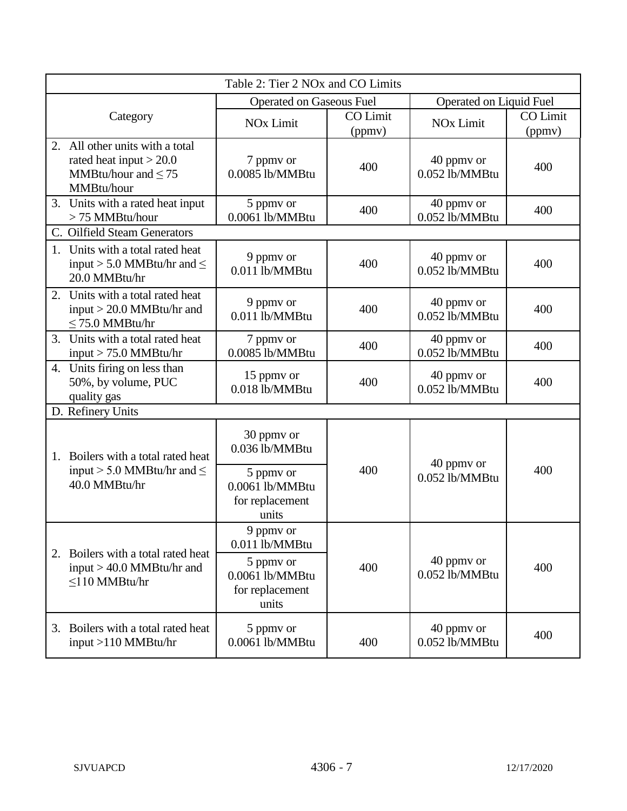|                                                                                                           | Table 2: Tier 2 NO <sub>x</sub> and CO Limits            |                           |                              |                           |  |
|-----------------------------------------------------------------------------------------------------------|----------------------------------------------------------|---------------------------|------------------------------|---------------------------|--|
|                                                                                                           | <b>Operated on Gaseous Fuel</b>                          |                           | Operated on Liquid Fuel      |                           |  |
| Category                                                                                                  | <b>NO<sub>x</sub></b> Limit                              | <b>CO</b> Limit<br>(ppmv) | <b>NO<sub>x</sub></b> Limit  | <b>CO</b> Limit<br>(ppmv) |  |
| All other units with a total<br>2.<br>rated heat input $>$ 20.0<br>MMBtu/hour and $\leq$ 75<br>MMBtu/hour | 7 ppmv or<br>0.0085 lb/MMBtu                             | 400                       | 40 ppmy or<br>0.052 lb/MMBtu | 400                       |  |
| 3. Units with a rated heat input<br>> 75 MMBtu/hour                                                       | 5 ppmv or<br>0.0061 lb/MMBtu                             | 400                       | 40 ppmy or<br>0.052 lb/MMBtu | 400                       |  |
| C. Oilfield Steam Generators                                                                              |                                                          |                           |                              |                           |  |
| 1. Units with a total rated heat<br>input > 5.0 MMBtu/hr and $\leq$<br>20.0 MMBtu/hr                      | 9 ppmv or<br>0.011 lb/MMBtu                              | 400                       | 40 ppmy or<br>0.052 lb/MMBtu | 400                       |  |
| 2. Units with a total rated heat<br>input $>$ 20.0 MMBtu/hr and<br>$\leq$ 75.0 MMBtu/hr                   | 9 ppmy or<br>0.011 lb/MMBtu                              | 400                       | 40 ppmy or<br>0.052 lb/MMBtu | 400                       |  |
| 3. Units with a total rated heat<br>input $> 75.0$ MMBtu/hr                                               | 7 ppmy or<br>0.0085 lb/MMBtu                             | 400                       | 40 ppmy or<br>0.052 lb/MMBtu | 400                       |  |
| 4. Units firing on less than<br>50%, by volume, PUC<br>quality gas                                        | 15 ppmy or<br>0.018 lb/MMBtu                             | 400                       | 40 ppmy or<br>0.052 lb/MMBtu | 400                       |  |
| D. Refinery Units                                                                                         |                                                          |                           |                              |                           |  |
| Boilers with a total rated heat<br>1.                                                                     | 30 ppmy or<br>0.036 lb/MMBtu                             |                           | 40 ppmy or                   |                           |  |
| input > 5.0 MMBtu/hr and $\leq$<br>40.0 MMBtu/hr                                                          | 5 ppmy or<br>0.0061 lb/MMBtu<br>for replacement<br>units | 400                       | 0.052 lb/MMBtu               | 400                       |  |
| Boilers with a total rated heat<br>2.                                                                     | 9 ppmv or<br>0.011 lb/MMBtu                              |                           |                              |                           |  |
| input $>$ 40.0 MMBtu/hr and<br>$\leq$ 110 MMBtu/hr                                                        | 5 ppmy or<br>0.0061 lb/MMBtu<br>for replacement<br>units | 400                       | 40 ppmv or<br>0.052 lb/MMBtu | 400                       |  |
| 3. Boilers with a total rated heat<br>input >110 MMBtu/hr                                                 | 5 ppmy or<br>0.0061 lb/MMBtu                             | 400                       | 40 ppmy or<br>0.052 lb/MMBtu | 400                       |  |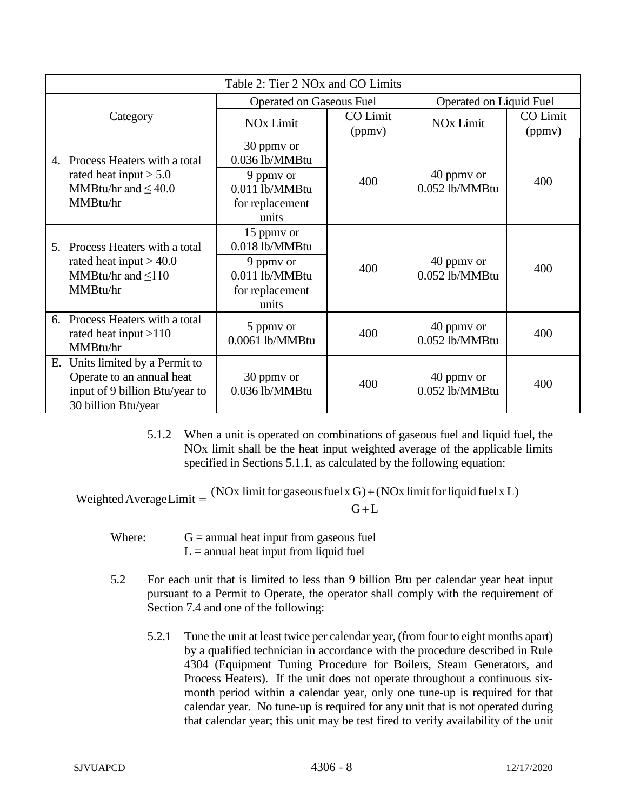|    | Table 2: Tier 2 NO <sub>x</sub> and CO Limits                                                                      |                                                                                         |                           |                                |                    |
|----|--------------------------------------------------------------------------------------------------------------------|-----------------------------------------------------------------------------------------|---------------------------|--------------------------------|--------------------|
|    |                                                                                                                    | <b>Operated on Gaseous Fuel</b>                                                         |                           | Operated on Liquid Fuel        |                    |
|    | Category                                                                                                           | <b>NO<sub>x</sub></b> Limit                                                             | <b>CO</b> Limit<br>(ppmv) | <b>NO<sub>x</sub></b> Limit    | CO Limit<br>(ppmv) |
| 4. | Process Heaters with a total                                                                                       | 30 ppmy or<br>0.036 lb/MMBtu                                                            |                           |                                |                    |
|    | rated heat input $> 5.0$<br>MMBtu/hr and $< 40.0$<br>MMBtu/hr                                                      | 9 ppmy or<br>0.011 lb/MMBtu<br>for replacement<br>units                                 | 400                       | 40 ppmy or<br>0.052 lb/MMBtu   | 400                |
| 5. | Process Heaters with a total<br>rated heat input $> 40.0$<br>MMBtu/hr and $\leq 110$<br>MMBtu/hr                   | 15 ppmy or<br>0.018 lb/MMBtu<br>9 ppmy or<br>0.011 lb/MMBtu<br>for replacement<br>units | 400                       | 40 ppmy or<br>$0.052$ lb/MMBtu | 400                |
| 6. | Process Heaters with a total<br>rated heat input $>110$<br>MMBtu/hr                                                | 5 ppmy or<br>0.0061 lb/MMBtu                                                            | 400                       | 40 ppmy or<br>0.052 lb/MMBtu   | 400                |
| Е. | Units limited by a Permit to<br>Operate to an annual heat<br>input of 9 billion Btu/year to<br>30 billion Btu/year | 30 ppmy or<br>0.036 lb/MMBtu                                                            | 400                       | 40 ppmy or<br>0.052 lb/MMBtu   | 400                |

5.1.2 When a unit is operated on combinations of gaseous fuel and liquid fuel, the NOx limit shall be the heat input weighted average of the applicable limits specified in Sections 5.1.1, as calculated by the following equation:

 $G+L$ Weighted Average Limit =  $\frac{(NOx \text{ limit for gaseous fuel x G}) + (NOx \text{ limit for liquid fuel x L})}{G}$ 

- Where:  $G =$  annual heat input from gaseous fuel  $L =$  annual heat input from liquid fuel
- 5.2 For each unit that is limited to less than 9 billion Btu per calendar year heat input pursuant to a Permit to Operate, the operator shall comply with the requirement of Section 7.4 and one of the following:
	- 5.2.1 Tune the unit at least twice per calendar year, (from four to eight months apart) by a qualified technician in accordance with the procedure described in Rule 4304 (Equipment Tuning Procedure for Boilers, Steam Generators, and Process Heaters). If the unit does not operate throughout a continuous sixmonth period within a calendar year, only one tune-up is required for that calendar year. No tune-up is required for any unit that is not operated during that calendar year; this unit may be test fired to verify availability of the unit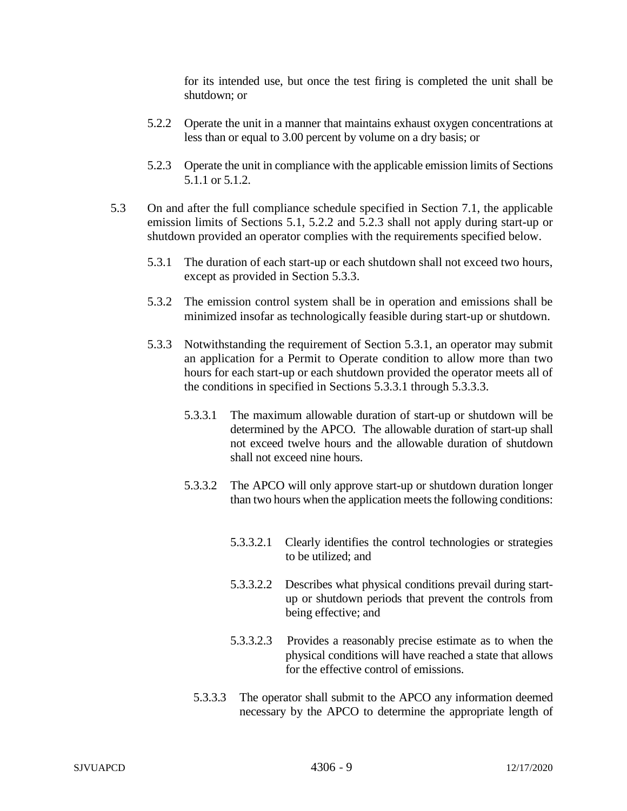for its intended use, but once the test firing is completed the unit shall be shutdown; or

- 5.2.2 Operate the unit in a manner that maintains exhaust oxygen concentrations at less than or equal to 3.00 percent by volume on a dry basis; or
- 5.2.3 Operate the unit in compliance with the applicable emission limits of Sections 5.1.1 or 5.1.2.
- 5.3 On and after the full compliance schedule specified in Section 7.1, the applicable emission limits of Sections 5.1, 5.2.2 and 5.2.3 shall not apply during start-up or shutdown provided an operator complies with the requirements specified below.
	- 5.3.1 The duration of each start-up or each shutdown shall not exceed two hours, except as provided in Section 5.3.3.
	- 5.3.2 The emission control system shall be in operation and emissions shall be minimized insofar as technologically feasible during start-up or shutdown.
	- 5.3.3 Notwithstanding the requirement of Section 5.3.1, an operator may submit an application for a Permit to Operate condition to allow more than two hours for each start-up or each shutdown provided the operator meets all of the conditions in specified in Sections 5.3.3.1 through 5.3.3.3.
		- 5.3.3.1 The maximum allowable duration of start-up or shutdown will be determined by the APCO. The allowable duration of start-up shall not exceed twelve hours and the allowable duration of shutdown shall not exceed nine hours.
		- 5.3.3.2 The APCO will only approve start-up or shutdown duration longer than two hours when the application meets the following conditions:
			- 5.3.3.2.1 Clearly identifies the control technologies or strategies to be utilized; and
			- 5.3.3.2.2 Describes what physical conditions prevail during startup or shutdown periods that prevent the controls from being effective; and
			- 5.3.3.2.3 Provides a reasonably precise estimate as to when the physical conditions will have reached a state that allows for the effective control of emissions.
			- 5.3.3.3 The operator shall submit to the APCO any information deemed necessary by the APCO to determine the appropriate length of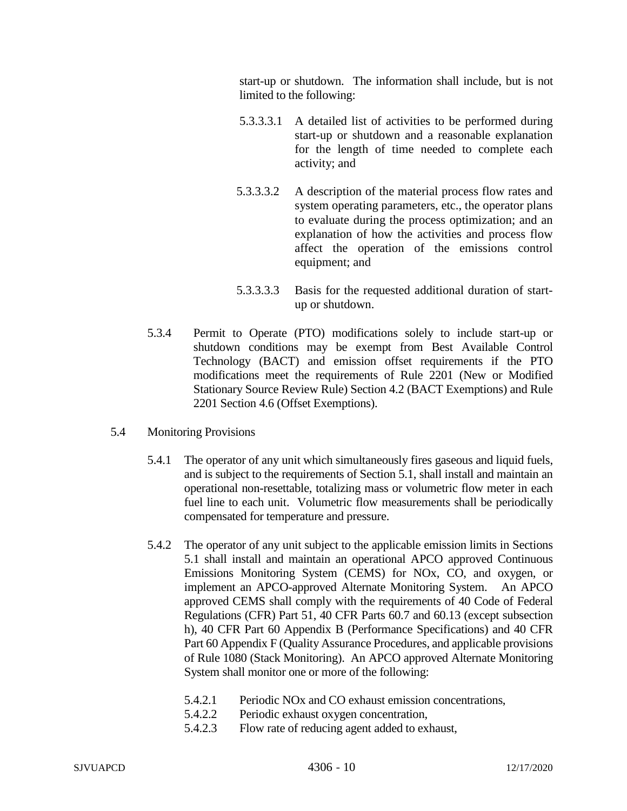start-up or shutdown. The information shall include, but is not limited to the following:

- 5.3.3.3.1 A detailed list of activities to be performed during start-up or shutdown and a reasonable explanation for the length of time needed to complete each activity; and
- 5.3.3.3.2 A description of the material process flow rates and system operating parameters, etc., the operator plans to evaluate during the process optimization; and an explanation of how the activities and process flow affect the operation of the emissions control equipment; and
- 5.3.3.3.3 Basis for the requested additional duration of startup or shutdown.
- 5.3.4 Permit to Operate (PTO) modifications solely to include start-up or shutdown conditions may be exempt from Best Available Control Technology (BACT) and emission offset requirements if the PTO modifications meet the requirements of Rule 2201 (New or Modified Stationary Source Review Rule) Section 4.2 (BACT Exemptions) and Rule 2201 Section 4.6 (Offset Exemptions).
- 5.4 Monitoring Provisions
	- 5.4.1 The operator of any unit which simultaneously fires gaseous and liquid fuels, and is subject to the requirements of Section 5.1, shall install and maintain an operational non-resettable, totalizing mass or volumetric flow meter in each fuel line to each unit. Volumetric flow measurements shall be periodically compensated for temperature and pressure.
	- 5.4.2 The operator of any unit subject to the applicable emission limits in Sections 5.1 shall install and maintain an operational APCO approved Continuous Emissions Monitoring System (CEMS) for NOx, CO, and oxygen, or implement an APCO-approved Alternate Monitoring System. An APCO approved CEMS shall comply with the requirements of 40 Code of Federal Regulations (CFR) Part 51, 40 CFR Parts 60.7 and 60.13 (except subsection h), 40 CFR Part 60 Appendix B (Performance Specifications) and 40 CFR Part 60 Appendix F (Quality Assurance Procedures, and applicable provisions of Rule 1080 (Stack Monitoring). An APCO approved Alternate Monitoring System shall monitor one or more of the following:
		- 5.4.2.1 Periodic NOx and CO exhaust emission concentrations,
		- 5.4.2.2 Periodic exhaust oxygen concentration,
		- 5.4.2.3 Flow rate of reducing agent added to exhaust,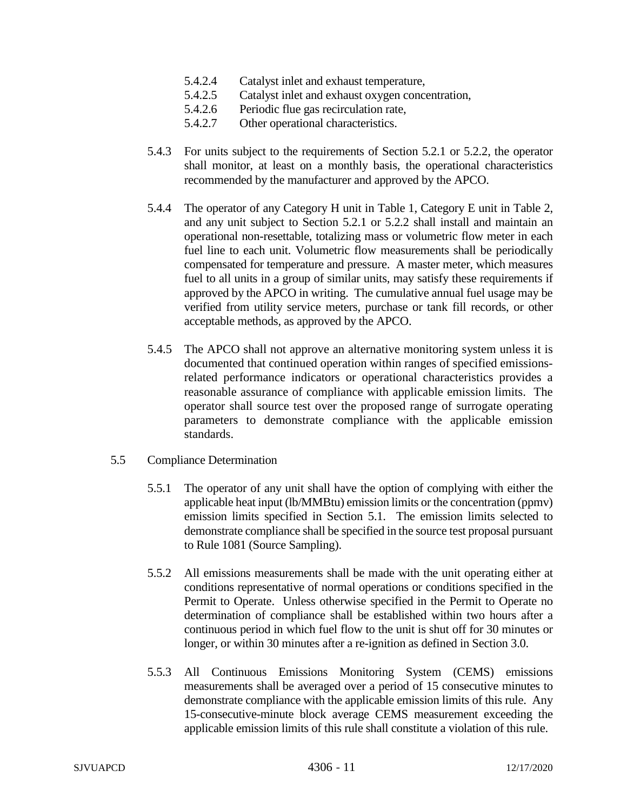- 5.4.2.4 Catalyst inlet and exhaust temperature,
- 5.4.2.5 Catalyst inlet and exhaust oxygen concentration,
- 5.4.2.6 Periodic flue gas recirculation rate,
- 5.4.2.7 Other operational characteristics.
- 5.4.3 For units subject to the requirements of Section 5.2.1 or 5.2.2, the operator shall monitor, at least on a monthly basis, the operational characteristics recommended by the manufacturer and approved by the APCO.
- 5.4.4 The operator of any Category H unit in Table 1, Category E unit in Table 2, and any unit subject to Section 5.2.1 or 5.2.2 shall install and maintain an operational non-resettable, totalizing mass or volumetric flow meter in each fuel line to each unit. Volumetric flow measurements shall be periodically compensated for temperature and pressure. A master meter, which measures fuel to all units in a group of similar units, may satisfy these requirements if approved by the APCO in writing. The cumulative annual fuel usage may be verified from utility service meters, purchase or tank fill records, or other acceptable methods, as approved by the APCO.
- 5.4.5 The APCO shall not approve an alternative monitoring system unless it is documented that continued operation within ranges of specified emissionsrelated performance indicators or operational characteristics provides a reasonable assurance of compliance with applicable emission limits. The operator shall source test over the proposed range of surrogate operating parameters to demonstrate compliance with the applicable emission standards.
- 5.5 Compliance Determination
	- 5.5.1 The operator of any unit shall have the option of complying with either the applicable heat input (lb/MMBtu) emission limits or the concentration (ppmv) emission limits specified in Section 5.1. The emission limits selected to demonstrate compliance shall be specified in the source test proposal pursuant to Rule 1081 (Source Sampling).
	- 5.5.2 All emissions measurements shall be made with the unit operating either at conditions representative of normal operations or conditions specified in the Permit to Operate. Unless otherwise specified in the Permit to Operate no determination of compliance shall be established within two hours after a continuous period in which fuel flow to the unit is shut off for 30 minutes or longer, or within 30 minutes after a re-ignition as defined in Section 3.0.
	- 5.5.3 All Continuous Emissions Monitoring System (CEMS) emissions measurements shall be averaged over a period of 15 consecutive minutes to demonstrate compliance with the applicable emission limits of this rule. Any 15-consecutive-minute block average CEMS measurement exceeding the applicable emission limits of this rule shall constitute a violation of this rule.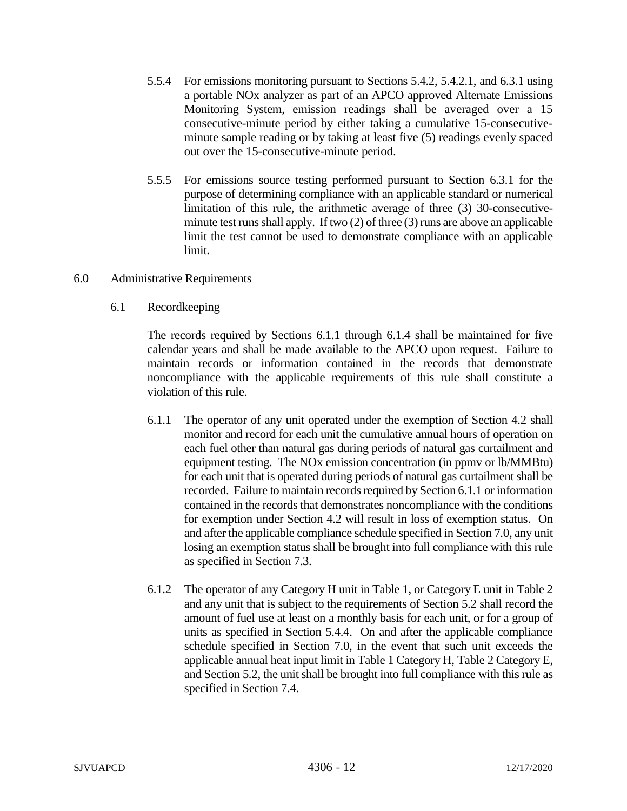- 5.5.4 For emissions monitoring pursuant to Sections 5.4.2, 5.4.2.1, and 6.3.1 using a portable NOx analyzer as part of an APCO approved Alternate Emissions Monitoring System, emission readings shall be averaged over a 15 consecutive-minute period by either taking a cumulative 15-consecutiveminute sample reading or by taking at least five (5) readings evenly spaced out over the 15-consecutive-minute period.
- 5.5.5 For emissions source testing performed pursuant to Section 6.3.1 for the purpose of determining compliance with an applicable standard or numerical limitation of this rule, the arithmetic average of three (3) 30-consecutiveminute test runs shall apply. If two (2) of three (3) runs are above an applicable limit the test cannot be used to demonstrate compliance with an applicable limit.
- 6.0 Administrative Requirements
	- 6.1 Recordkeeping

The records required by Sections 6.1.1 through 6.1.4 shall be maintained for five calendar years and shall be made available to the APCO upon request. Failure to maintain records or information contained in the records that demonstrate noncompliance with the applicable requirements of this rule shall constitute a violation of this rule.

- 6.1.1 The operator of any unit operated under the exemption of Section 4.2 shall monitor and record for each unit the cumulative annual hours of operation on each fuel other than natural gas during periods of natural gas curtailment and equipment testing. The NOx emission concentration (in ppmv or lb/MMBtu) for each unit that is operated during periods of natural gas curtailment shall be recorded. Failure to maintain records required by Section 6.1.1 or information contained in the records that demonstrates noncompliance with the conditions for exemption under Section 4.2 will result in loss of exemption status. On and after the applicable compliance schedule specified in Section 7.0, any unit losing an exemption status shall be brought into full compliance with this rule as specified in Section 7.3.
- 6.1.2 The operator of any Category H unit in Table 1, or Category E unit in Table 2 and any unit that is subject to the requirements of Section 5.2 shall record the amount of fuel use at least on a monthly basis for each unit, or for a group of units as specified in Section 5.4.4. On and after the applicable compliance schedule specified in Section 7.0, in the event that such unit exceeds the applicable annual heat input limit in Table 1 Category H, Table 2 Category E, and Section 5.2, the unit shall be brought into full compliance with this rule as specified in Section 7.4.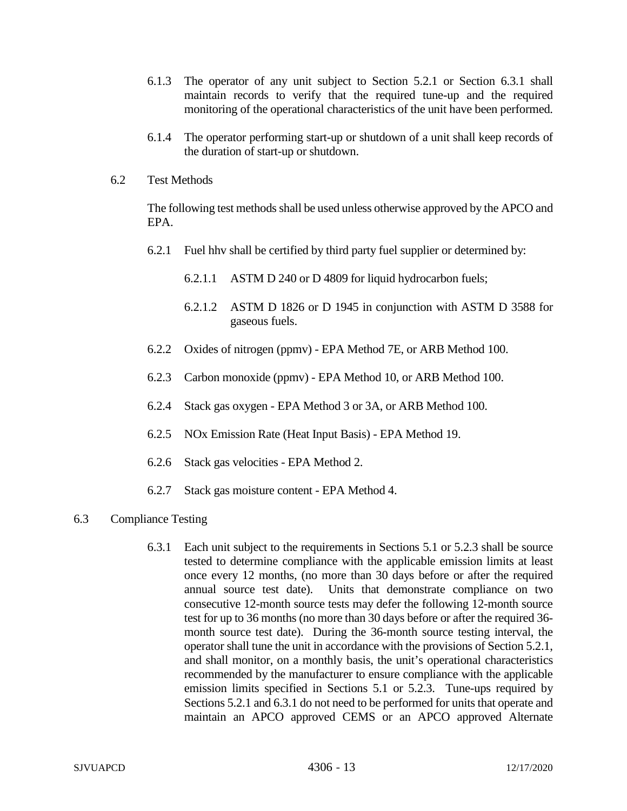- 6.1.3 The operator of any unit subject to Section 5.2.1 or Section 6.3.1 shall maintain records to verify that the required tune-up and the required monitoring of the operational characteristics of the unit have been performed.
- 6.1.4 The operator performing start-up or shutdown of a unit shall keep records of the duration of start-up or shutdown.
- 6.2 Test Methods

The following test methods shall be used unless otherwise approved by the APCO and EPA.

- 6.2.1 Fuel hhv shall be certified by third party fuel supplier or determined by:
	- 6.2.1.1 ASTM D 240 or D 4809 for liquid hydrocarbon fuels;
	- 6.2.1.2 ASTM D 1826 or D 1945 in conjunction with ASTM D 3588 for gaseous fuels.
- 6.2.2 Oxides of nitrogen (ppmv) EPA Method 7E, or ARB Method 100.
- 6.2.3 Carbon monoxide (ppmv) EPA Method 10, or ARB Method 100.
- 6.2.4 Stack gas oxygen EPA Method 3 or 3A, or ARB Method 100.
- 6.2.5 NOx Emission Rate (Heat Input Basis) EPA Method 19.
- 6.2.6 Stack gas velocities EPA Method 2.
- 6.2.7 Stack gas moisture content EPA Method 4.

### 6.3 Compliance Testing

6.3.1 Each unit subject to the requirements in Sections 5.1 or 5.2.3 shall be source tested to determine compliance with the applicable emission limits at least once every 12 months, (no more than 30 days before or after the required annual source test date). Units that demonstrate compliance on two consecutive 12-month source tests may defer the following 12-month source test for up to 36 months (no more than 30 days before or after the required 36 month source test date). During the 36-month source testing interval, the operator shall tune the unit in accordance with the provisions of Section 5.2.1, and shall monitor, on a monthly basis, the unit's operational characteristics recommended by the manufacturer to ensure compliance with the applicable emission limits specified in Sections 5.1 or 5.2.3. Tune-ups required by Sections 5.2.1 and 6.3.1 do not need to be performed for units that operate and maintain an APCO approved CEMS or an APCO approved Alternate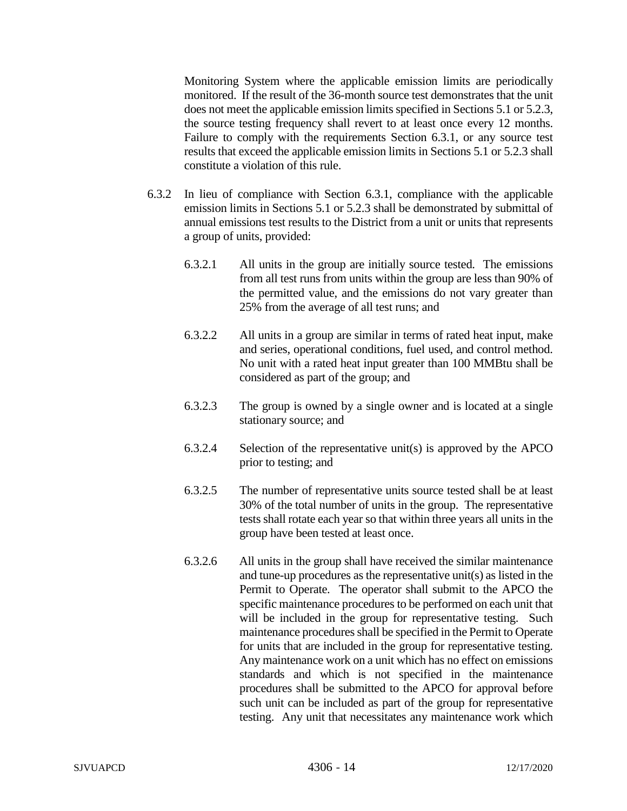Monitoring System where the applicable emission limits are periodically monitored. If the result of the 36-month source test demonstrates that the unit does not meet the applicable emission limits specified in Sections 5.1 or 5.2.3, the source testing frequency shall revert to at least once every 12 months. Failure to comply with the requirements Section 6.3.1, or any source test results that exceed the applicable emission limits in Sections 5.1 or 5.2.3 shall constitute a violation of this rule.

- 6.3.2 In lieu of compliance with Section 6.3.1, compliance with the applicable emission limits in Sections 5.1 or 5.2.3 shall be demonstrated by submittal of annual emissions test results to the District from a unit or units that represents a group of units, provided:
	- 6.3.2.1 All units in the group are initially source tested. The emissions from all test runs from units within the group are less than 90% of the permitted value, and the emissions do not vary greater than 25% from the average of all test runs; and
	- 6.3.2.2 All units in a group are similar in terms of rated heat input, make and series, operational conditions, fuel used, and control method. No unit with a rated heat input greater than 100 MMBtu shall be considered as part of the group; and
	- 6.3.2.3 The group is owned by a single owner and is located at a single stationary source; and
	- 6.3.2.4 Selection of the representative unit(s) is approved by the APCO prior to testing; and
	- 6.3.2.5 The number of representative units source tested shall be at least 30% of the total number of units in the group. The representative tests shall rotate each year so that within three years all units in the group have been tested at least once.
	- 6.3.2.6 All units in the group shall have received the similar maintenance and tune-up procedures as the representative unit(s) as listed in the Permit to Operate. The operator shall submit to the APCO the specific maintenance procedures to be performed on each unit that will be included in the group for representative testing. Such maintenance procedures shall be specified in the Permit to Operate for units that are included in the group for representative testing. Any maintenance work on a unit which has no effect on emissions standards and which is not specified in the maintenance procedures shall be submitted to the APCO for approval before such unit can be included as part of the group for representative testing. Any unit that necessitates any maintenance work which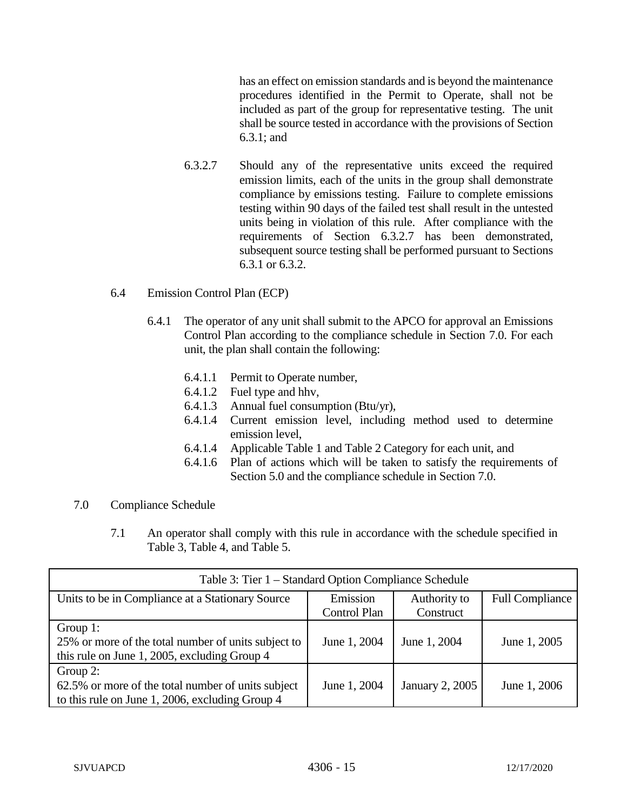has an effect on emission standards and is beyond the maintenance procedures identified in the Permit to Operate, shall not be included as part of the group for representative testing. The unit shall be source tested in accordance with the provisions of Section 6.3.1; and

6.3.2.7 Should any of the representative units exceed the required emission limits, each of the units in the group shall demonstrate compliance by emissions testing. Failure to complete emissions testing within 90 days of the failed test shall result in the untested units being in violation of this rule. After compliance with the requirements of Section 6.3.2.7 has been demonstrated, subsequent source testing shall be performed pursuant to Sections 6.3.1 or 6.3.2.

# 6.4 Emission Control Plan (ECP)

- 6.4.1 The operator of any unit shall submit to the APCO for approval an Emissions Control Plan according to the compliance schedule in Section 7.0. For each unit, the plan shall contain the following:
	- 6.4.1.1 Permit to Operate number,
	- 6.4.1.2 Fuel type and hhv,
	- 6.4.1.3 Annual fuel consumption (Btu/yr),
	- 6.4.1.4 Current emission level, including method used to determine emission level,
	- 6.4.1.4 Applicable Table 1 and Table 2 Category for each unit, and
	- 6.4.1.6 Plan of actions which will be taken to satisfy the requirements of Section 5.0 and the compliance schedule in Section 7.0.

#### 7.0 Compliance Schedule

7.1 An operator shall comply with this rule in accordance with the schedule specified in Table 3, Table 4, and Table 5.

| Table 3: Tier 1 – Standard Option Compliance Schedule |                          |                           |                        |  |  |
|-------------------------------------------------------|--------------------------|---------------------------|------------------------|--|--|
| Units to be in Compliance at a Stationary Source      | Emission<br>Control Plan | Authority to<br>Construct | <b>Full Compliance</b> |  |  |
|                                                       |                          |                           |                        |  |  |
| Group 1:                                              |                          |                           |                        |  |  |
| 25% or more of the total number of units subject to   | June 1, 2004             | June 1, 2004              | June 1, 2005           |  |  |
| this rule on June 1, 2005, excluding Group 4          |                          |                           |                        |  |  |
| Group 2:                                              |                          |                           |                        |  |  |
| 62.5% or more of the total number of units subject    | June 1, 2004             | January 2, 2005           | June 1, 2006           |  |  |
| to this rule on June 1, 2006, excluding Group 4       |                          |                           |                        |  |  |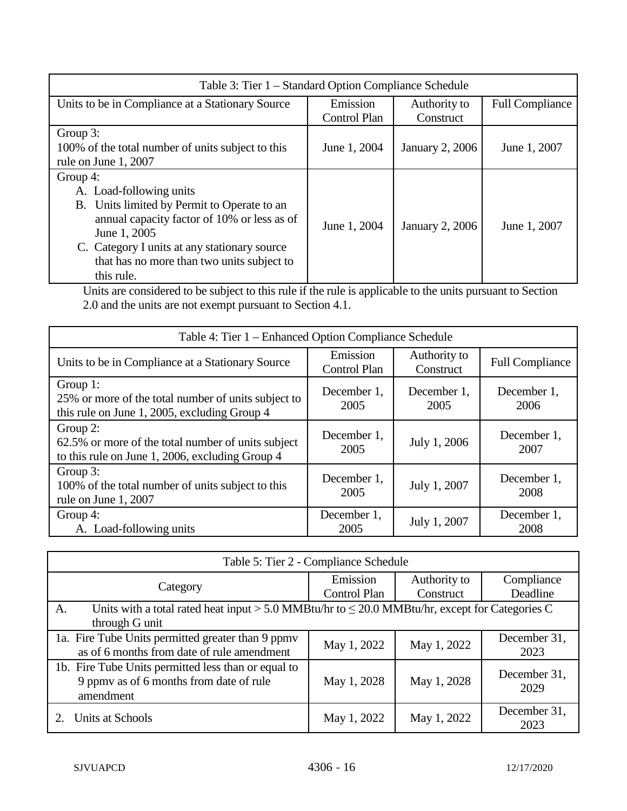| Table 3: Tier 1 – Standard Option Compliance Schedule                                                                                                                                                                                                         |                          |                           |                        |  |  |
|---------------------------------------------------------------------------------------------------------------------------------------------------------------------------------------------------------------------------------------------------------------|--------------------------|---------------------------|------------------------|--|--|
| Units to be in Compliance at a Stationary Source                                                                                                                                                                                                              | Emission<br>Control Plan | Authority to<br>Construct | <b>Full Compliance</b> |  |  |
| Group 3:<br>100% of the total number of units subject to this<br>rule on June 1, 2007                                                                                                                                                                         | June 1, 2004             | January 2, 2006           | June 1, 2007           |  |  |
| Group 4:<br>A. Load-following units<br>B. Units limited by Permit to Operate to an<br>annual capacity factor of 10% or less as of<br>June 1, 2005<br>C. Category I units at any stationary source<br>that has no more than two units subject to<br>this rule. | June 1, 2004             | January 2, 2006           | June 1, 2007           |  |  |

Units are considered to be subject to this rule if the rule is applicable to the units pursuant to Section 2.0 and the units are not exempt pursuant to Section 4.1.

| Table 4: Tier 1 - Enhanced Option Compliance Schedule                                                             |                          |                           |                        |  |  |
|-------------------------------------------------------------------------------------------------------------------|--------------------------|---------------------------|------------------------|--|--|
| Units to be in Compliance at a Stationary Source                                                                  | Emission<br>Control Plan | Authority to<br>Construct | <b>Full Compliance</b> |  |  |
| Group 1:<br>25% or more of the total number of units subject to<br>this rule on June 1, 2005, excluding Group 4   | December 1,<br>2005      | December 1,<br>2005       | December 1,<br>2006    |  |  |
| Group 2:<br>62.5% or more of the total number of units subject<br>to this rule on June 1, 2006, excluding Group 4 | December 1,<br>2005      | July 1, 2006              | December 1,<br>2007    |  |  |
| Group 3:<br>100% of the total number of units subject to this<br>rule on June 1, 2007                             | December 1,<br>2005      | July 1, 2007              | December 1,<br>2008    |  |  |
| Group 4:<br>A. Load-following units                                                                               | December 1,<br>2005      | July 1, 2007              | December 1,<br>2008    |  |  |

| Table 5: Tier 2 - Compliance Schedule                                                                                       |                          |                           |                        |  |  |
|-----------------------------------------------------------------------------------------------------------------------------|--------------------------|---------------------------|------------------------|--|--|
| Category                                                                                                                    | Emission<br>Control Plan | Authority to<br>Construct | Compliance<br>Deadline |  |  |
| Units with a total rated heat input > 5.0 MMBtu/hr to $\leq$ 20.0 MMBtu/hr, except for Categories C<br>A.<br>through G unit |                          |                           |                        |  |  |
| 1a. Fire Tube Units permitted greater than 9 ppmv<br>as of 6 months from date of rule amendment                             | May 1, 2022              | May 1, 2022               | December 31,<br>2023   |  |  |
| 1b. Fire Tube Units permitted less than or equal to<br>9 ppmy as of 6 months from date of rule<br>amendment                 | May 1, 2028              | May 1, 2028               | December 31,<br>2029   |  |  |
| Units at Schools                                                                                                            | May 1, 2022              | May 1, 2022               | December 31,<br>2023   |  |  |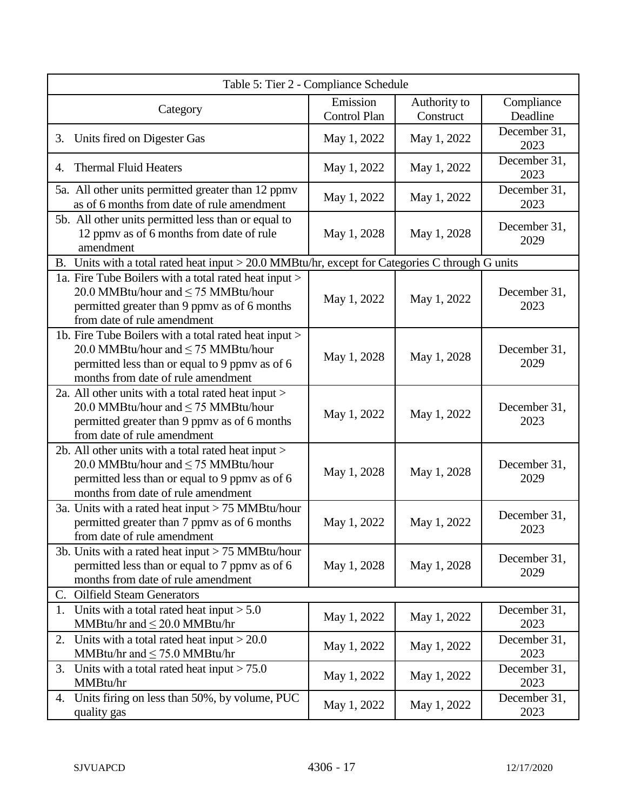| Table 5: Tier 2 - Compliance Schedule                                                                                                                                                     |                                 |                           |                        |  |
|-------------------------------------------------------------------------------------------------------------------------------------------------------------------------------------------|---------------------------------|---------------------------|------------------------|--|
| Category                                                                                                                                                                                  | Emission<br><b>Control Plan</b> | Authority to<br>Construct | Compliance<br>Deadline |  |
| Units fired on Digester Gas<br>3.                                                                                                                                                         | May 1, 2022                     | May 1, 2022               | December 31,<br>2023   |  |
| <b>Thermal Fluid Heaters</b><br>4.                                                                                                                                                        | May 1, 2022                     | May 1, 2022               | December 31,<br>2023   |  |
| 5a. All other units permitted greater than 12 ppmv<br>as of 6 months from date of rule amendment                                                                                          | May 1, 2022                     | May 1, 2022               | December 31,<br>2023   |  |
| 5b. All other units permitted less than or equal to<br>12 ppmv as of 6 months from date of rule<br>amendment                                                                              | May 1, 2028                     | May 1, 2028               | December 31,<br>2029   |  |
| B. Units with a total rated heat input > 20.0 MMBtu/hr, except for Categories C through G units                                                                                           |                                 |                           |                        |  |
| 1a. Fire Tube Boilers with a total rated heat input ><br>20.0 MMBtu/hour and ≤ 75 MMBtu/hour<br>permitted greater than 9 ppmy as of 6 months<br>from date of rule amendment               | May 1, 2022                     | May 1, 2022               | December 31,<br>2023   |  |
| 1b. Fire Tube Boilers with a total rated heat input ><br>20.0 MMBtu/hour and $\leq$ 75 MMBtu/hour<br>permitted less than or equal to 9 ppmv as of 6<br>months from date of rule amendment | May 1, 2028                     | May 1, 2028               | December 31,<br>2029   |  |
| 2a. All other units with a total rated heat input ><br>20.0 MMBtu/hour and ≤ 75 MMBtu/hour<br>permitted greater than 9 ppmv as of 6 months<br>from date of rule amendment                 | May 1, 2022                     | May 1, 2022               | December 31,<br>2023   |  |
| 2b. All other units with a total rated heat input ><br>20.0 MMBtu/hour and ≤ 75 MMBtu/hour<br>permitted less than or equal to 9 ppmy as of 6<br>months from date of rule amendment        | May 1, 2028                     | May 1, 2028               | December 31,<br>2029   |  |
| 3a. Units with a rated heat input $> 75$ MMBtu/hour<br>permitted greater than 7 ppmv as of 6 months<br>from date of rule amendment                                                        | May 1, 2022                     | May 1, 2022               | December 31,<br>2023   |  |
| 3b. Units with a rated heat input $> 75$ MMBtu/hour<br>permitted less than or equal to 7 ppmy as of 6<br>months from date of rule amendment                                               | May 1, 2028                     | May 1, 2028               | December 31,<br>2029   |  |
| <b>Oilfield Steam Generators</b><br>C.                                                                                                                                                    |                                 |                           |                        |  |
| 1. Units with a total rated heat input $> 5.0$<br>MMBtu/hr and $\leq$ 20.0 MMBtu/hr                                                                                                       | May 1, 2022                     | May 1, 2022               | December 31,<br>2023   |  |
| Units with a total rated heat input $>$ 20.0<br>2.<br>MMBtu/hr and $\leq$ 75.0 MMBtu/hr                                                                                                   | May 1, 2022                     | May 1, 2022               | December 31,<br>2023   |  |
| Units with a total rated heat input $> 75.0$<br>3.<br>MMBtu/hr                                                                                                                            | May 1, 2022                     | May 1, 2022               | December 31,<br>2023   |  |
| Units firing on less than 50%, by volume, PUC<br>4.<br>quality gas                                                                                                                        | May 1, 2022                     | May 1, 2022               | December 31,<br>2023   |  |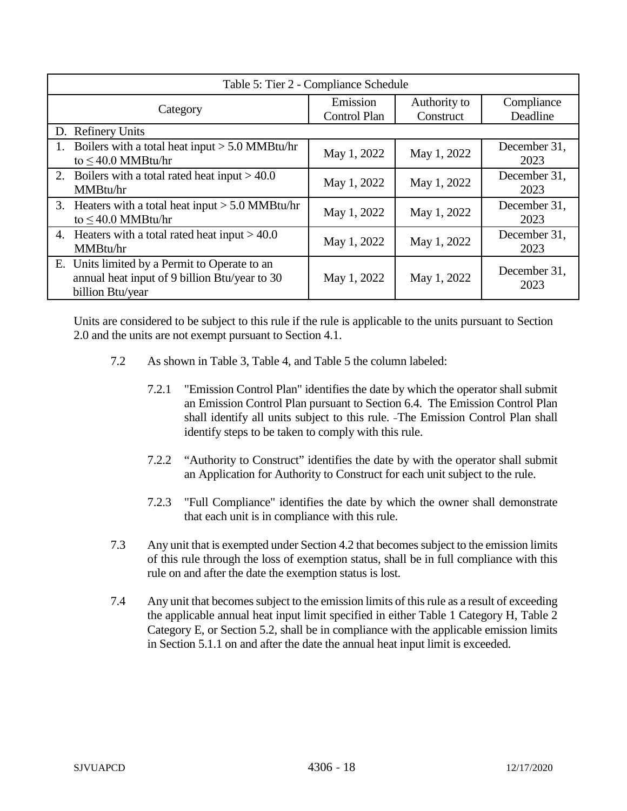| Table 5: Tier 2 - Compliance Schedule                                                                              |                          |                           |                        |  |
|--------------------------------------------------------------------------------------------------------------------|--------------------------|---------------------------|------------------------|--|
| Category                                                                                                           | Emission<br>Control Plan | Authority to<br>Construct | Compliance<br>Deadline |  |
| D. Refinery Units                                                                                                  |                          |                           |                        |  |
| Boilers with a total heat input $> 5.0$ MMBtu/hr<br>to $\leq$ 40.0 MMBtu/hr                                        | May 1, 2022              | May 1, 2022               | December 31,<br>2023   |  |
| Boilers with a total rated heat input $> 40.0$<br>2.<br>MMBtu/hr                                                   | May 1, 2022              | May 1, 2022               | December 31,<br>2023   |  |
| Heaters with a total heat input $> 5.0$ MMBtu/hr<br>3.<br>to $\leq$ 40.0 MMBtu/hr                                  | May 1, 2022              | May 1, 2022               | December 31,<br>2023   |  |
| 4. Heaters with a total rated heat input $> 40.0$<br>MMBtu/hr                                                      | May 1, 2022              | May 1, 2022               | December 31,<br>2023   |  |
| E. Units limited by a Permit to Operate to an<br>annual heat input of 9 billion Btu/year to 30<br>billion Btu/year | May 1, 2022              | May 1, 2022               | December 31,<br>2023   |  |

Units are considered to be subject to this rule if the rule is applicable to the units pursuant to Section 2.0 and the units are not exempt pursuant to Section 4.1.

- 7.2 As shown in Table 3, Table 4, and Table 5 the column labeled:
	- 7.2.1 "Emission Control Plan" identifies the date by which the operator shall submit an Emission Control Plan pursuant to Section 6.4. The Emission Control Plan shall identify all units subject to this rule. The Emission Control Plan shall identify steps to be taken to comply with this rule.
	- 7.2.2 "Authority to Construct" identifies the date by with the operator shall submit an Application for Authority to Construct for each unit subject to the rule.
	- 7.2.3 "Full Compliance" identifies the date by which the owner shall demonstrate that each unit is in compliance with this rule.
- 7.3 Any unit that is exempted under Section 4.2 that becomes subject to the emission limits of this rule through the loss of exemption status, shall be in full compliance with this rule on and after the date the exemption status is lost.
- 7.4 Any unit that becomes subject to the emission limits of this rule as a result of exceeding the applicable annual heat input limit specified in either Table 1 Category H, Table 2 Category E, or Section 5.2, shall be in compliance with the applicable emission limits in Section 5.1.1 on and after the date the annual heat input limit is exceeded.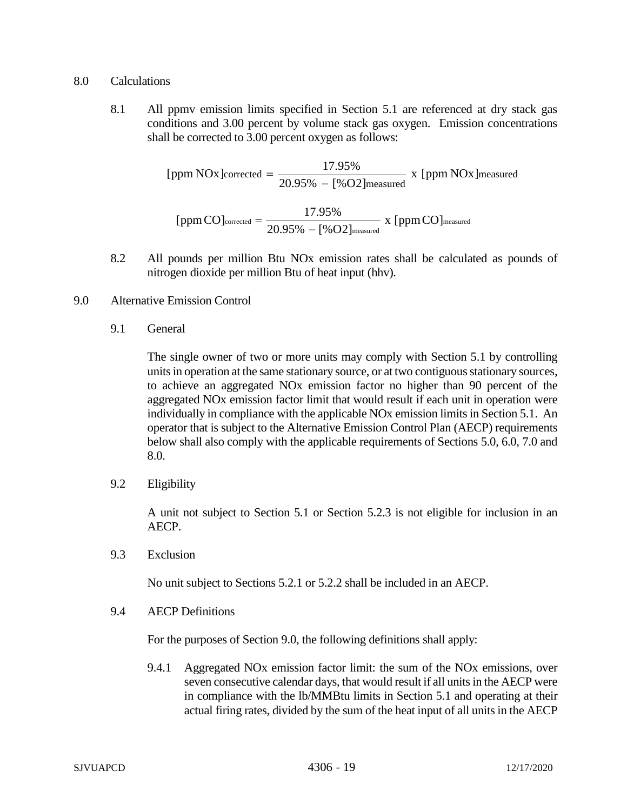### 8.0 Calculations

8.1 All ppmv emission limits specified in Section 5.1 are referenced at dry stack gas conditions and 3.00 percent by volume stack gas oxygen. Emission concentrations shall be corrected to 3.00 percent oxygen as follows:

> measured [ppm NOx]corrected =  $\frac{17.95\%}{20.95\% - [%O2]$  measured  $}$  x [ppm NOx] measured  $\text{[ppmCO]}_{\text{corrected}} = \frac{17.95\%}{20.95\% - [\%O2]_{\text{measured}}} \text{ x [ppmCO]}$

- 8.2 All pounds per million Btu NOx emission rates shall be calculated as pounds of nitrogen dioxide per million Btu of heat input (hhv).
- 9.0 Alternative Emission Control
	- 9.1 General

The single owner of two or more units may comply with Section 5.1 by controlling units in operation at the same stationary source, or at two contiguous stationary sources, to achieve an aggregated NOx emission factor no higher than 90 percent of the aggregated NOx emission factor limit that would result if each unit in operation were individually in compliance with the applicable NOx emission limits in Section 5.1. An operator that is subject to the Alternative Emission Control Plan (AECP) requirements below shall also comply with the applicable requirements of Sections 5.0, 6.0, 7.0 and 8.0.

9.2 Eligibility

A unit not subject to Section 5.1 or Section 5.2.3 is not eligible for inclusion in an AECP.

9.3 Exclusion

No unit subject to Sections 5.2.1 or 5.2.2 shall be included in an AECP.

9.4 AECP Definitions

For the purposes of Section 9.0, the following definitions shall apply:

9.4.1 Aggregated NOx emission factor limit: the sum of the NOx emissions, over seven consecutive calendar days, that would result if all units in the AECP were in compliance with the lb/MMBtu limits in Section 5.1 and operating at their actual firing rates, divided by the sum of the heat input of all units in the AECP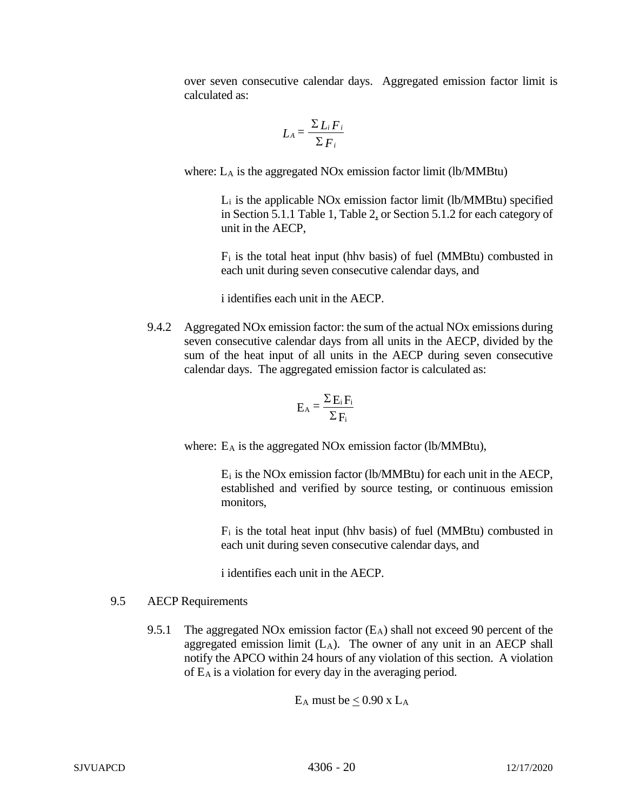over seven consecutive calendar days. Aggregated emission factor limit is calculated as:

$$
L_A = \frac{\sum L_i F_i}{\sum F_i}
$$

where: L<sub>A</sub> is the aggregated NO<sub>x</sub> emission factor limit (lb/MMBtu)

Li is the applicable NOx emission factor limit (lb/MMBtu) specified in Section 5.1.1 Table 1, Table 2, or Section 5.1.2 for each category of unit in the AECP,

 $F_i$  is the total heat input (hhv basis) of fuel (MMBtu) combusted in each unit during seven consecutive calendar days, and

i identifies each unit in the AECP.

9.4.2 Aggregated NOx emission factor: the sum of the actual NOx emissions during seven consecutive calendar days from all units in the AECP, divided by the sum of the heat input of all units in the AECP during seven consecutive calendar days. The aggregated emission factor is calculated as:

$$
E_A = \frac{\Sigma E_i F_i}{\Sigma F_i}
$$

where: E<sub>A</sub> is the aggregated NO<sub>x</sub> emission factor (lb/MMBtu),

 $E_i$  is the NOx emission factor (lb/MMBtu) for each unit in the AECP, established and verified by source testing, or continuous emission monitors,

 $F_i$  is the total heat input (hhv basis) of fuel (MMBtu) combusted in each unit during seven consecutive calendar days, and

i identifies each unit in the AECP.

# 9.5 AECP Requirements

9.5.1 The aggregated NOx emission factor  $(E_A)$  shall not exceed 90 percent of the aggregated emission limit  $(L_A)$ . The owner of any unit in an AECP shall notify the APCO within 24 hours of any violation of this section. A violation of EA is a violation for every day in the averaging period.

 $E_A$  must be  $< 0.90$  x  $L_A$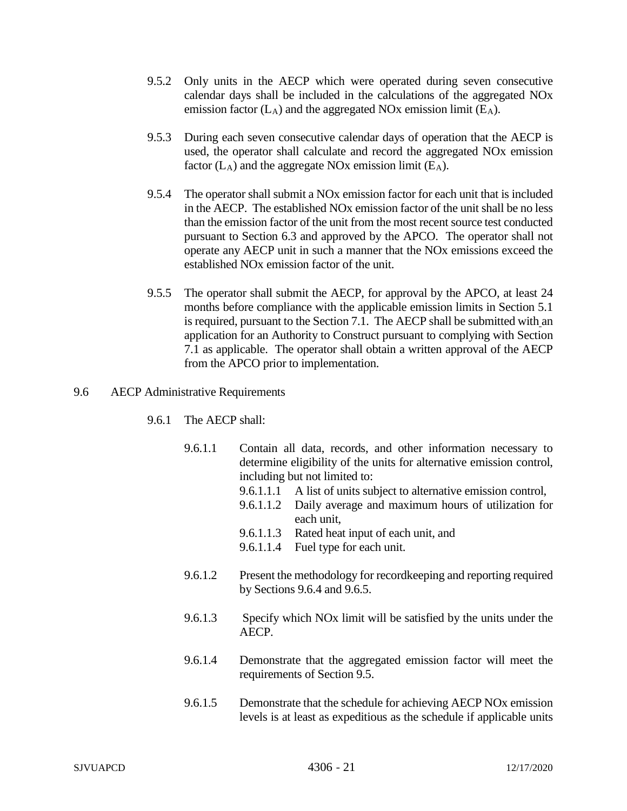- 9.5.2 Only units in the AECP which were operated during seven consecutive calendar days shall be included in the calculations of the aggregated NOx emission factor  $(L_A)$  and the aggregated NOx emission limit  $(E_A)$ .
- 9.5.3 During each seven consecutive calendar days of operation that the AECP is used, the operator shall calculate and record the aggregated NOx emission factor  $(L_A)$  and the aggregate NOx emission limit  $(E_A)$ .
- 9.5.4 The operator shall submit a NOx emission factor for each unit that is included in the AECP. The established NOx emission factor of the unit shall be no less than the emission factor of the unit from the most recent source test conducted pursuant to Section 6.3 and approved by the APCO. The operator shall not operate any AECP unit in such a manner that the NOx emissions exceed the established NOx emission factor of the unit.
- 9.5.5 The operator shall submit the AECP, for approval by the APCO, at least 24 months before compliance with the applicable emission limits in Section 5.1 is required, pursuant to the Section 7.1. The AECP shall be submitted with an application for an Authority to Construct pursuant to complying with Section 7.1 as applicable. The operator shall obtain a written approval of the AECP from the APCO prior to implementation.

## 9.6 AECP Administrative Requirements

- 9.6.1 The AECP shall:
	- 9.6.1.1 Contain all data, records, and other information necessary to determine eligibility of the units for alternative emission control, including but not limited to:
		- 9.6.1.1.1 A list of units subject to alternative emission control,
		- 9.6.1.1.2 Daily average and maximum hours of utilization for each unit,
		- 9.6.1.1.3 Rated heat input of each unit, and
		- 9.6.1.1.4 Fuel type for each unit.
	- 9.6.1.2 Present the methodology for recordkeeping and reporting required by Sections 9.6.4 and 9.6.5.
	- 9.6.1.3 Specify which NOx limit will be satisfied by the units under the AECP.
	- 9.6.1.4 Demonstrate that the aggregated emission factor will meet the requirements of Section 9.5.
	- 9.6.1.5 Demonstrate that the schedule for achieving AECP NOx emission levels is at least as expeditious as the schedule if applicable units